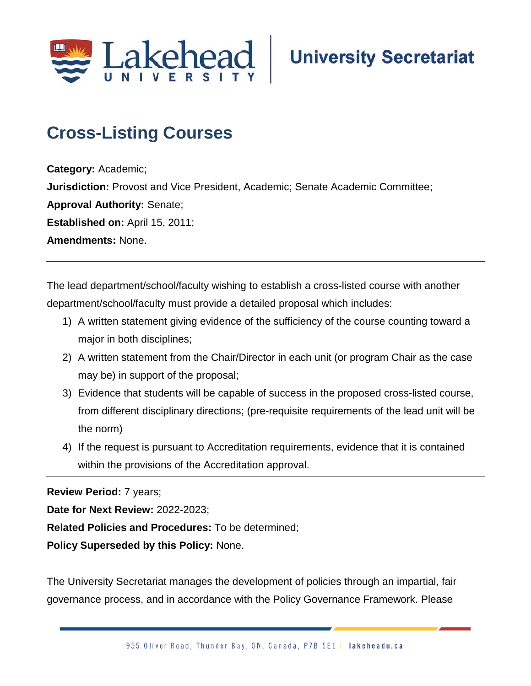

## **Cross-Listing Courses;**

**Category:** Academic; **Jurisdiction:** Provost and Vice President, Academic; Senate Academic Committee; **Approval Authority:** Senate; **Established on:** April 15, 2011; **Amendments:** None.

The lead department/school/faculty wishing to establish a cross-listed course with another department/school/faculty must provide a detailed proposal which includes:

- 1) A written statement giving evidence of the sufficiency of the course counting toward a major in both disciplines;
- 2) A written statement from the Chair/Director in each unit (or program Chair as the case may be) in support of the proposal;
- 3) Evidence that students will be capable of success in the proposed cross-listed course, from different disciplinary directions; (pre-requisite requirements of the lead unit will be the norm)
- 4) If the request is pursuant to Accreditation requirements, evidence that it is contained within the provisions of the Accreditation approval.

**Review Period:** 7 years;

**Date for Next Review:** 2022-2023;

**Related Policies and Procedures:** To be determined;

**Policy Superseded by this Policy:** None.

The University Secretariat manages the development of policies through an impartial, fair governance process, and in accordance with the Policy Governance Framework. Please